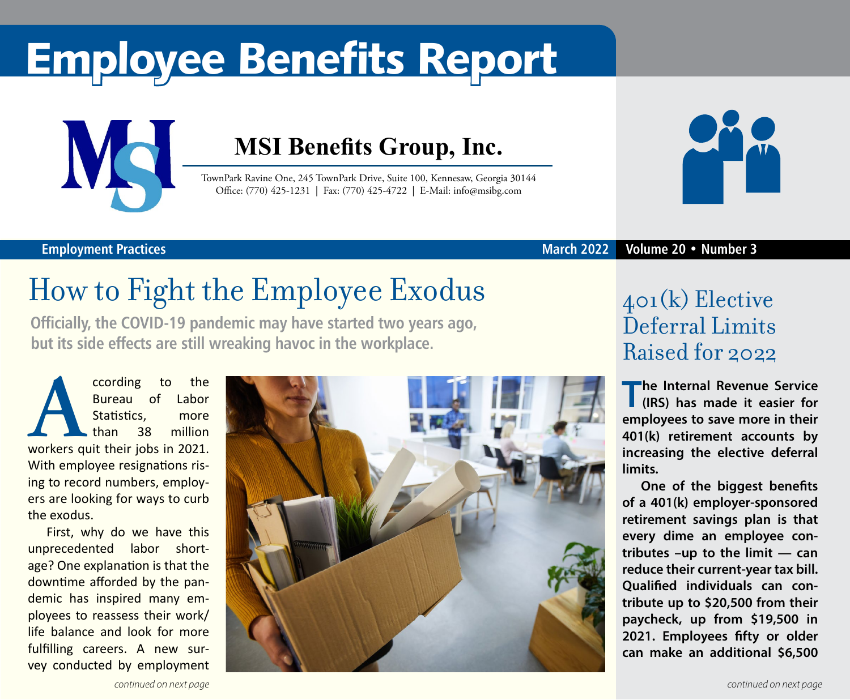# Employee Benefits Report



### **MSI Benefits Group, Inc.**

TownPark Ravine One, 245 TownPark Drive, Suite 100, Kennesaw, Georgia 30144 Office: (770) 425-1231 | Fax: (770) 425-4722 | E-Mail: info@msibg.com



#### **March 2022 Volume 20 • Number 3**

#### **Employment Practices**

## How to Fight the Employee Exodus

**Officially, the COVID-19 pandemic may have started two years ago, but its side effects are still wreaking havoc in the workplace.**

**According to the Bureau of Labor**<br> **According the Statistics, more**<br> **According the Statistics** of Million<br>
Workers quit their jobs in 2021. Bureau of Labor Statistics, more than 38 million With employee resignations rising to record numbers, employers are looking for ways to curb the exodus.

First, why do we have this unprecedented labor shortage? One explanation is that the downtime afforded by the pandemic has inspired many employees to reassess their work/ life balance and look for more fulfilling careers. A new survey conducted by employment



### 401(k) Elective Deferral Limits Raised for 2022

**T he Internal Revenue Service (IRS) has made it easier for employees to save more in their 401(k) retirement accounts by increasing the elective deferral limits.** 

**One of the biggest benefits of a 401(k) employer-sponsored retirement savings plan is that every dime an employee contributes –up to the limit — can reduce their current-year tax bill. Qualified individuals can contribute up to \$20,500 from their paycheck, up from \$19,500 in 2021. Employees fifty or older can make an additional \$6,500**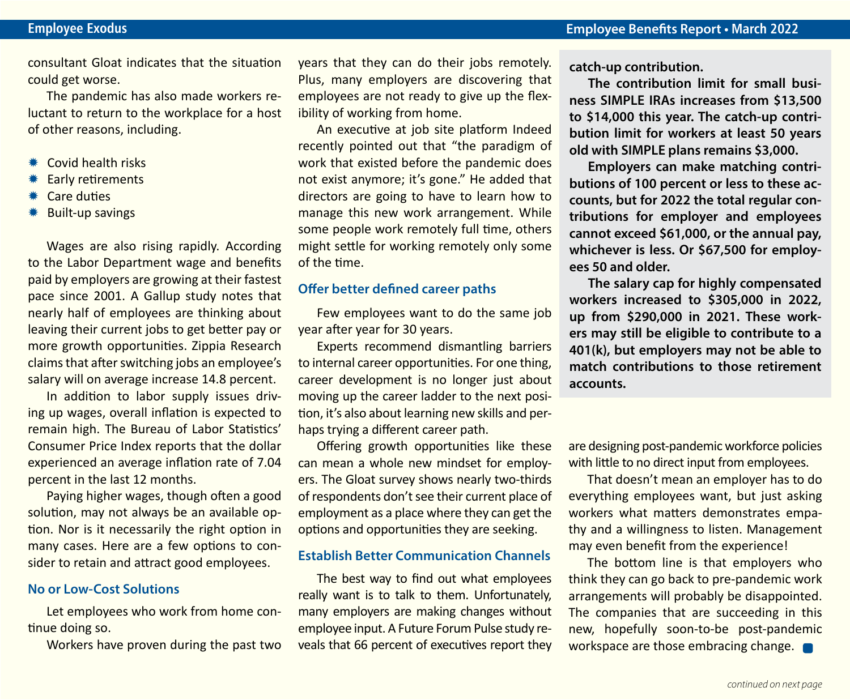consultant Gloat indicates that the situation could get worse.

The pandemic has also made workers reluctant to return to the workplace for a host of other reasons, including.

- $*$  Covid health risks
- **Early retirements**
- **\*\*** Care duties
- \* Built-up savings

Wages are also rising rapidly. According to the Labor Department wage and benefits paid by employers are growing at their fastest pace since 2001. A Gallup study notes that nearly half of employees are thinking about leaving their current jobs to get better pay or more growth opportunities. Zippia Research claims that after switching jobs an employee's salary will on average increase 14.8 percent.

In addition to labor supply issues driving up wages, overall inflation is expected to remain high. The Bureau of Labor Statistics' Consumer Price Index reports that the dollar experienced an average inflation rate of 7.04 percent in the last 12 months.

Paying higher wages, though often a good solution, may not always be an available option. Nor is it necessarily the right option in many cases. Here are a few options to consider to retain and attract good employees.

#### **No or Low-Cost Solutions**

Let employees who work from home continue doing so.

Workers have proven during the past two

years that they can do their jobs remotely. Plus, many employers are discovering that employees are not ready to give up the flexibility of working from home.

An executive at job site platform Indeed recently pointed out that "the paradigm of work that existed before the pandemic does not exist anymore; it's gone." He added that directors are going to have to learn how to manage this new work arrangement. While some people work remotely full time, others might settle for working remotely only some of the time.

#### **Offer better defined career paths**

Few employees want to do the same job year after year for 30 years.

Experts recommend dismantling barriers to internal career opportunities. For one thing, career development is no longer just about moving up the career ladder to the next position, it's also about learning new skills and perhaps trying a different career path.

Offering growth opportunities like these can mean a whole new mindset for employers. The Gloat survey shows nearly two-thirds of respondents don't see their current place of employment as a place where they can get the options and opportunities they are seeking.

#### **Establish Better Communication Channels**

The best way to find out what employees really want is to talk to them. Unfortunately, many employers are making changes without employee input. A Future Forum Pulse study reveals that 66 percent of executives report they **catch-up contribution.**

**The contribution limit for small business SIMPLE IRAs increases from \$13,500 to \$14,000 this year. The catch-up contribution limit for workers at least 50 years old with SIMPLE plans remains \$3,000.**

**Employers can make matching contributions of 100 percent or less to these accounts, but for 2022 the total regular contributions for employer and employees cannot exceed \$61,000, or the annual pay, whichever is less. Or \$67,500 for employees 50 and older.**

**The salary cap for highly compensated workers increased to \$305,000 in 2022, up from \$290,000 in 2021. These workers may still be eligible to contribute to a 401(k), but employers may not be able to match contributions to those retirement accounts.**

are designing post-pandemic workforce policies with little to no direct input from employees.

That doesn't mean an employer has to do everything employees want, but just asking workers what matters demonstrates empathy and a willingness to listen. Management may even benefit from the experience!

The bottom line is that employers who think they can go back to pre-pandemic work arrangements will probably be disappointed. The companies that are succeeding in this new, hopefully soon-to-be post-pandemic workspace are those embracing change.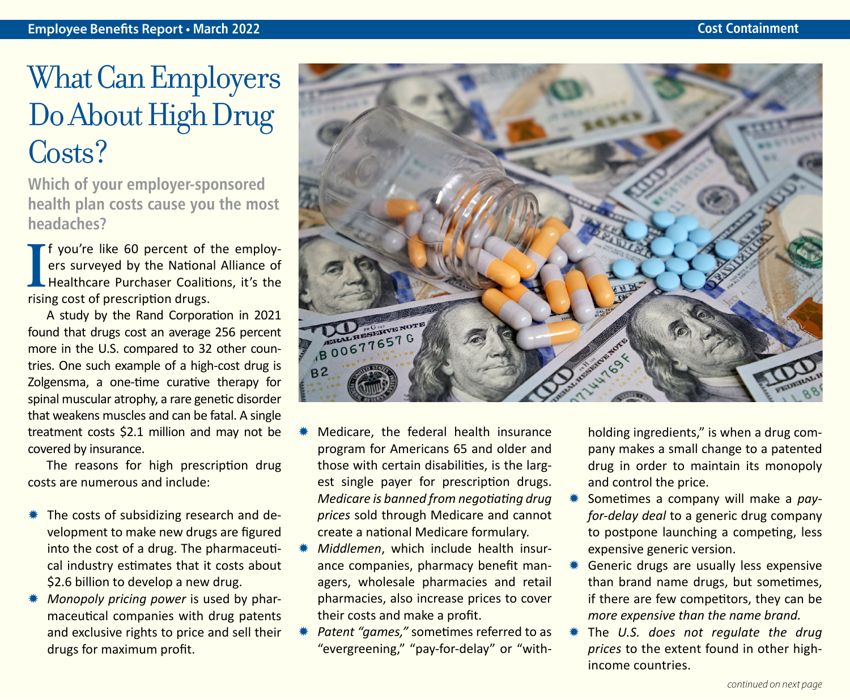### What Can Employers Do About High Drug Costs?

**Which of your employer-sponsored health plan costs cause you the most headaches?**

**I** f you're like 60 percent of ers surveyed by the National<br>Healthcare Purchaser Coalit<br>rising cost of prescription drugs. f you're like 60 percent of the employers surveyed by the National Alliance of Healthcare Purchaser Coalitions, it's the

A study by the Rand Corporation in 2021 found that drugs cost an average 256 percent more in the U.S. compared to 32 other countries. One such example of a high-cost drug is Zolgensma, a one-time curative therapy for spinal muscular atrophy, a rare genetic disorder that weakens muscles and can be fatal. A single treatment costs \$2.1 million and may not be covered by insurance.

The reasons for high prescription drug costs are numerous and include:

- $*$  The costs of subsidizing research and development to make new drugs are figured into the cost of a drug. The pharmaceutical industry estimates that it costs about \$2.6 billion to develop a new drug.
- *Monopoly pricing power* is used by pharmaceutical companies with drug patents and exclusive rights to price and sell their drugs for maximum profit.



- Medicare, the federal health insurance program for Americans 65 and older and those with certain disabilities, is the largest single payer for prescription drugs. *Medicare is banned from negotiating drug prices* sold through Medicare and cannot create a national Medicare formulary.
- *Middlemen*, which include health insurance companies, pharmacy benefit managers, wholesale pharmacies and retail pharmacies, also increase prices to cover their costs and make a profit.
- Patent "games," sometimes referred to as "evergreening," "pay-for-delay" or "with-

holding ingredients," is when a drug company makes a small change to a patented drug in order to maintain its monopoly and control the price.

- Sometimes a company will make a pay*for-delay deal* to a generic drug company to postpone launching a competing, less expensive generic version.
- Generic drugs are usually less expensive than brand name drugs, but sometimes, if there are few competitors, they can be *more expensive than the name brand.*
- The *U.S.* does not regulate the drug *prices* to the extent found in other highincome countries.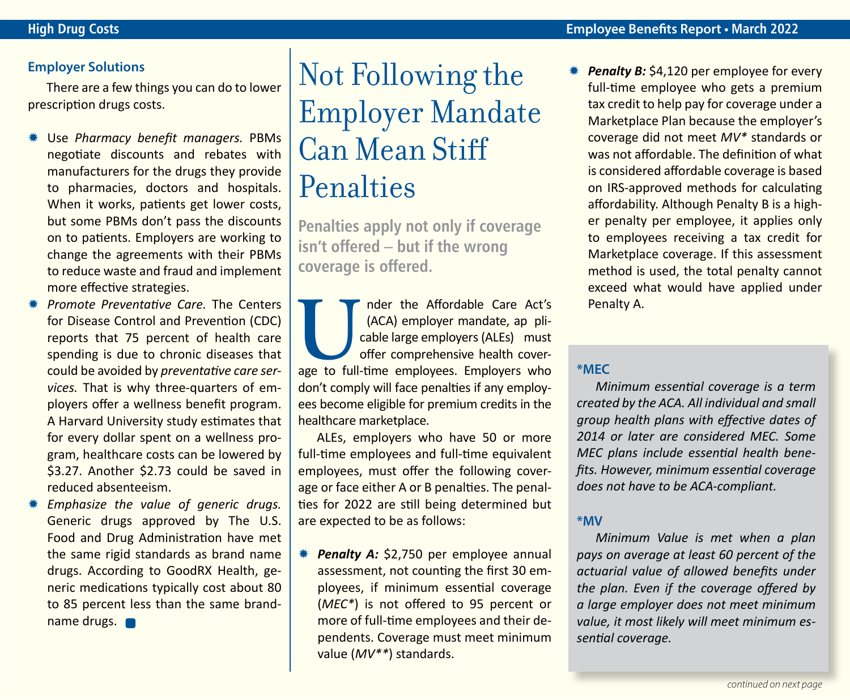#### **Employer Solutions**

There are a few things you can do to lower prescription drugs costs.

- **\* Use Pharmacy benefit managers. PBMs** negotiate discounts and rebates with manufacturers for the drugs they provide to pharmacies, doctors and hospitals. When it works, patients get lower costs, but some PBMs don't pass the discounts on to patients. Employers are working to change the agreements with their PBMs to reduce waste and fraud and implement more effective strategies.
- **\* Promote Preventative Care. The Centers** for Disease Control and Prevention (CDC) reports that 75 percent of health care spending is due to chronic diseases that could be avoided by *preventative care services.* That is why three-quarters of employers offer a wellness benefit program. A Harvard University study estimates that for every dollar spent on a wellness program, healthcare costs can be lowered by \$3.27. Another \$2.73 could be saved in reduced absenteeism.
- **\*** *Emphasize the value of generic drugs.* Generic drugs approved by The U.S. Food and Drug Administration have met the same rigid standards as brand name drugs. According to GoodRX Health, generic medications typically cost about 80 to 85 percent less than the same brandname drugs.

### Not Following the Employer Mandate Can Mean Stiff Penalties

**Penalties apply not only if coverage isn't offered – but if the wrong coverage is offered.**

**U INCRED INTERNATIONAL CARRY (ACA) employer mandate, ap plicable large employers (ALEs) must offer comprehensive health coverage to full-time employees. Employers who** (ACA) employer mandate, ap plicable large employers (ALEs) must offer comprehensive health coverdon't comply will face penalties if any employees become eligible for premium credits in the healthcare marketplace.

ALEs, employers who have 50 or more full-time employees and full-time equivalent employees, must offer the following coverage or face either A or B penalties. The penalties for 2022 are still being determined but are expected to be as follows:

*\* Penalty A:* \$2,750 per employee annual assessment, not counting the first 30 employees, if minimum essential coverage (*MEC\**) is not offered to 95 percent or more of full-time employees and their dependents. Coverage must meet minimum value (*MV\*\**) standards.

**Penalty B:** \$4,120 per employee for every full-time employee who gets a premium tax credit to help pay for coverage under a Marketplace Plan because the employer's coverage did not meet *MV\** standards or was not affordable. The definition of what is considered affordable coverage is based on IRS-approved methods for calculating affordability. Although Penalty B is a higher penalty per employee, it applies only to employees receiving a tax credit for Marketplace coverage. If this assessment method is used, the total penalty cannot exceed what would have applied under Penalty A.

#### **\*MEC**

*Minimum essential coverage is a term created by the ACA. All individual and small group health plans with effective dates of 2014 or later are considered MEC. Some MEC plans include essential health benefits. However, minimum essential coverage does not have to be ACA-compliant.*

#### **\*MV**

*Minimum Value is met when a plan pays on average at least 60 percent of the actuarial value of allowed benefits under the plan. Even if the coverage offered by a large employer does not meet minimum value, it most likely will meet minimum essential coverage.*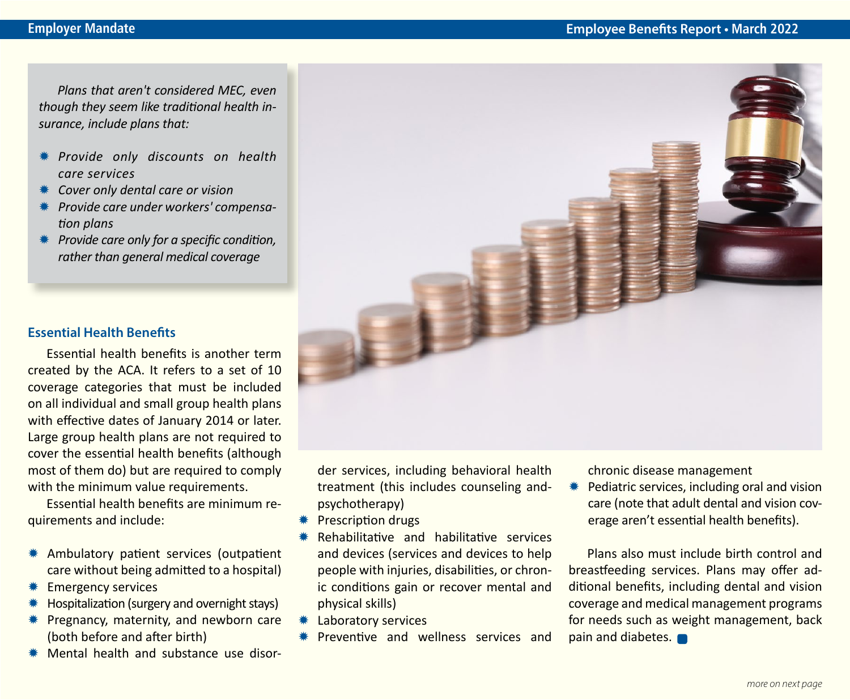*Plans that aren't considered MEC, even though they seem like traditional health insurance, include plans that:*

- Y *Provide only discounts on health care services*
- Y *Cover only dental care or vision*
- Y *Provide care under workers' compensation plans*
- **\*** Provide care only for a specific condition, *rather than general medical coverage*

#### **Essential Health Benefits**

Essential health benefits is another term created by the ACA. It refers to a set of 10 coverage categories that must be included on all individual and small group health plans with effective dates of January 2014 or later. Large group health plans are not required to cover the essential health benefits (although most of them do) but are required to comply with the minimum value requirements.

Essential health benefits are minimum requirements and include:

- \* Ambulatory patient services (outpatient care without being admitted to a hospital)
- **\*** Emergency services
- Hospitalization (surgery and overnight stays)
- $*$  Pregnancy, maternity, and newborn care (both before and after birth)
- $*$  Mental health and substance use disor-



der services, including behavioral health treatment (this includes counseling andpsychotherapy)

- **\*** Prescription drugs
- Rehabilitative and habilitative services and devices (services and devices to help people with injuries, disabilities, or chronic conditions gain or recover mental and physical skills)
- **\* Laboratory services**
- Preventive and wellness services and

chronic disease management

Pediatric services, including oral and vision care (note that adult dental and vision coverage aren't essential health benefits).

Plans also must include birth control and breastfeeding services. Plans may offer additional benefits, including dental and vision coverage and medical management programs for needs such as weight management, back pain and diabetes.